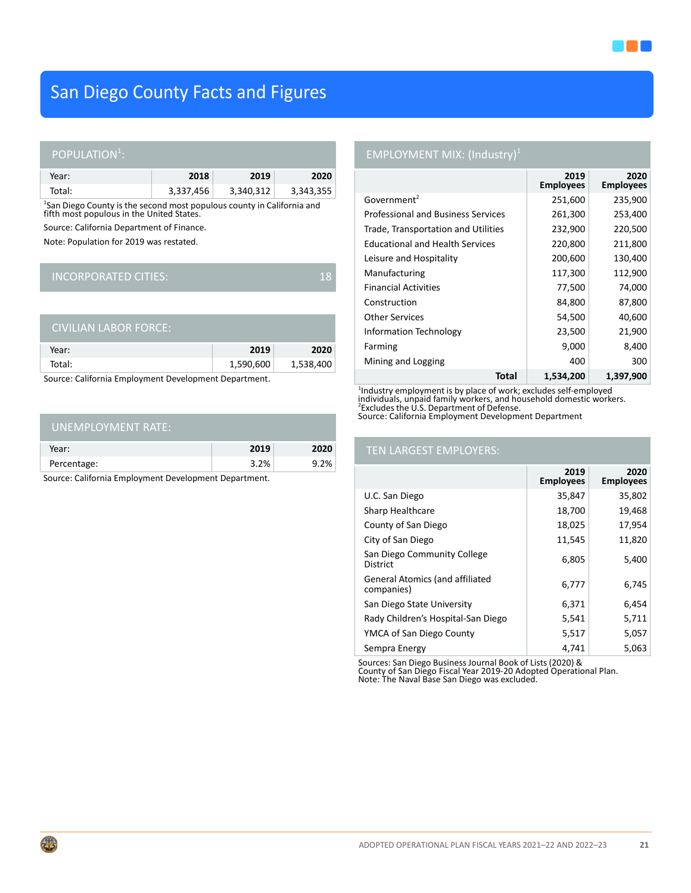

# San Diego County Facts and Figures

### POPULATION<sup>1</sup>:

| Year:  | 2018      | 2019      | 2020      |
|--------|-----------|-----------|-----------|
| Total: | 3,337,456 | 3,340,312 | 3,343,355 |

<sup>1</sup>San Diego County is the second most populous county in California and fifth most populous in the United States.

Source: California Department of Finance.

Note: Population for 2019 was restated.

## INCORPORATED CITIES: 18

| 'CIVILIAN LABOR FORCE: . |           |           |
|--------------------------|-----------|-----------|
| Year:                    | 2019      | 2020      |
| Total:                   | 1,590,600 | 1,538,400 |
|                          |           |           |

Source: California Employment Development Department.

| UNEMPLOYMENT RATE: |      |      |
|--------------------|------|------|
| Year:              | 2019 | 2020 |
| Percentage:        | 3.2% | 9.2% |

Source: California Employment Development Department.

# EMPLOYMENT MIX: (Industry)<sup>1</sup>

|                                           | 2019<br><b>Employees</b> | 2020<br><b>Employees</b> |
|-------------------------------------------|--------------------------|--------------------------|
| Government <sup>2</sup>                   | 251,600                  | 235,900                  |
| <b>Professional and Business Services</b> | 261,300                  | 253,400                  |
| Trade, Transportation and Utilities       | 232,900                  | 220,500                  |
| <b>Educational and Health Services</b>    | 220,800                  | 211,800                  |
| Leisure and Hospitality                   | 200,600                  | 130,400                  |
| Manufacturing                             | 117,300                  | 112,900                  |
| <b>Financial Activities</b>               | 77,500                   | 74,000                   |
| Construction                              | 84,800                   | 87,800                   |
| <b>Other Services</b>                     | 54,500                   | 40,600                   |
| Information Technology                    | 23,500                   | 21,900                   |
| Farming                                   | 9,000                    | 8,400                    |
| Mining and Logging                        | 400                      | 300                      |
| Total                                     | 1,534,200                | 1,397,900                |

<sup>1</sup>Industry employment is by place of work; excludes self-employed<br>individuals, unpaid family workers, and household domestic workers.<br><sup>2</sup>Excludes the U.S. Department of Defense. Source: California Employment Development Department

### TEN LARGEST EMPLOYERS:

|                                                      | 2019<br><b>Employees</b> | 2020<br><b>Employees</b> |
|------------------------------------------------------|--------------------------|--------------------------|
| U.C. San Diego                                       | 35,847                   | 35,802                   |
| Sharp Healthcare                                     | 18,700                   | 19,468                   |
| County of San Diego                                  | 18,025                   | 17,954                   |
| City of San Diego                                    | 11,545                   | 11,820                   |
| San Diego Community College<br>District              | 6,805                    | 5,400                    |
| <b>General Atomics (and affiliated</b><br>companies) | 6,777                    | 6,745                    |
| San Diego State University                           | 6,371                    | 6,454                    |
| Rady Children's Hospital-San Diego                   | 5,541                    | 5,711                    |
| YMCA of San Diego County                             | 5,517                    | 5,057                    |
| Sempra Energy                                        | 4.741                    | 5,063                    |

Sources: San Diego Business Journal Book of Lists (2020) & County of San Diego Fiscal Year 2019-20 Adopted Operational Plan. Note: The Naval Base San Diego was excluded.

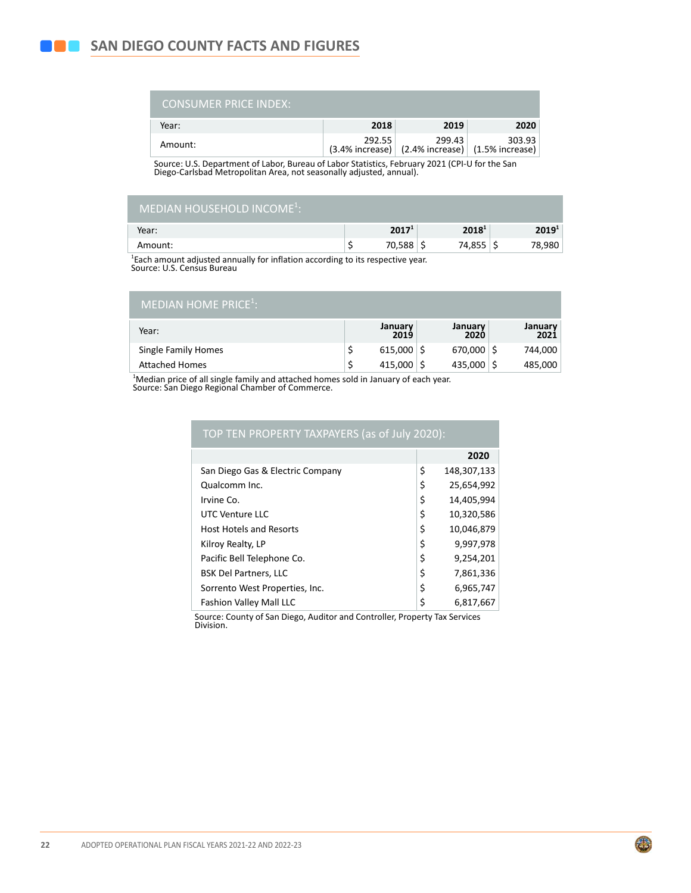| <b>CONSUMER PRICE INDEX:</b> |        |                                                                                    |        |
|------------------------------|--------|------------------------------------------------------------------------------------|--------|
| Year:                        | 2018   | 2019                                                                               | 2020   |
| Amount:                      | 292.55 | 299.43<br>$(3.4\%$ increase) $\vert$ $(2.4\%$ increase) $\vert$ $(1.5\%$ increase) | 303.93 |

Source: U.S. Department of Labor, Bureau of Labor Statistics, February 2021 (CPI-U for the San Diego-Carlsbad Metropolitan Area, not seasonally adjusted, annual).

| 2019 <sup>1</sup> |
|-------------------|
| 78,980            |
|                   |

<sup>1</sup>Each amount adjusted annually for inflation according to its respective year.<br>Source: U.S. Census Bureau

| MEDIAN HOME PRICE <sup>1</sup> : |  |
|----------------------------------|--|
|                                  |  |

| Year:                 | January<br>2019      | January<br>2020 | January<br>2021 |
|-----------------------|----------------------|-----------------|-----------------|
| Single Family Homes   | $615,000$ $\sqrt{5}$ | 670,000         | 744.000         |
| <b>Attached Homes</b> | $415,000$   \$       | 435.000         | 485,000         |

1 Median price of all single family and attached homes sold in January of each year. Source: San Diego Regional Chamber of Commerce.

| TOP TEN PROPERTY TAXPAYERS (as of July 2020): |                   |
|-----------------------------------------------|-------------------|
|                                               | 2020              |
| San Diego Gas & Electric Company              | \$<br>148,307,133 |
| Qualcomm Inc.                                 | \$<br>25,654,992  |
| Irvine Co.                                    | \$<br>14,405,994  |
| UTC Venture LLC                               | \$<br>10,320,586  |
| <b>Host Hotels and Resorts</b>                | \$<br>10,046,879  |
| Kilroy Realty, LP                             | \$<br>9,997,978   |
| Pacific Bell Telephone Co.                    | \$<br>9,254,201   |
| <b>BSK Del Partners, LLC</b>                  | \$<br>7,861,336   |
| Sorrento West Properties, Inc.                | \$<br>6,965,747   |
| <b>Fashion Valley Mall LLC</b>                | \$<br>6,817,667   |

Source: County of San Diego, Auditor and Controller, Property Tax Services Division.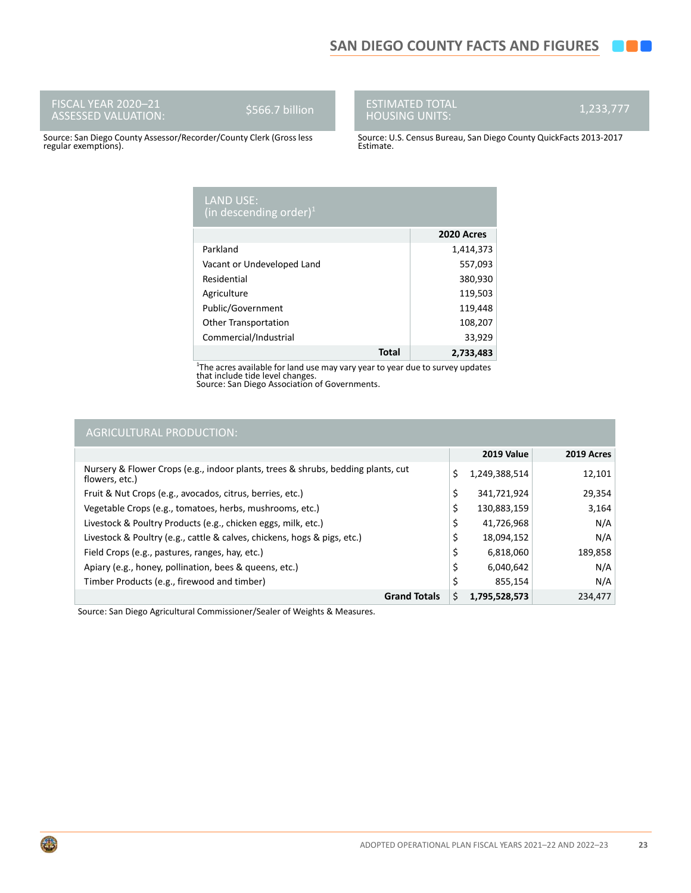FISCAL YEAR 2020–21 ASSESSED VALUATION: \$566.7 billion

G

# ESTIMATED TOTAL HOUSING UNITS: 1,233,777

Source: San Diego County Assessor/Recorder/County Clerk (Gross less regular exemptions).

Source: U.S. Census Bureau, San Diego County QuickFacts 2013-2017 Estimate.

| <b>LAND USE:</b><br>(in descending order) <sup>1</sup> |            |
|--------------------------------------------------------|------------|
|                                                        | 2020 Acres |
| Parkland                                               | 1,414,373  |
| Vacant or Undeveloped Land                             | 557,093    |
| Residential                                            | 380,930    |
| Agriculture                                            | 119,503    |
| Public/Government                                      | 119,448    |
| <b>Other Transportation</b>                            | 108,207    |
| Commercial/Industrial                                  | 33,929     |
| <b>Total</b>                                           | 2,733,483  |

1 The acres available for land use may vary year to year due to survey updates that include tide level changes. Source: San Diego Association of Governments.

| <b>AGRICULTURAL PRODUCTION:</b>                                                                    |                     |            |
|----------------------------------------------------------------------------------------------------|---------------------|------------|
|                                                                                                    | 2019 Value          | 2019 Acres |
| Nursery & Flower Crops (e.g., indoor plants, trees & shrubs, bedding plants, cut<br>flowers, etc.) | \$<br>1,249,388,514 | 12,101     |
| Fruit & Nut Crops (e.g., avocados, citrus, berries, etc.)                                          | \$<br>341,721,924   | 29,354     |
| Vegetable Crops (e.g., tomatoes, herbs, mushrooms, etc.)                                           | \$<br>130,883,159   | 3,164      |
| Livestock & Poultry Products (e.g., chicken eggs, milk, etc.)                                      | \$<br>41,726,968    | N/A        |
| Livestock & Poultry (e.g., cattle & calves, chickens, hogs & pigs, etc.)                           | 18,094,152          | N/A        |
| Field Crops (e.g., pastures, ranges, hay, etc.)                                                    | \$<br>6,818,060     | 189,858    |
| Apiary (e.g., honey, pollination, bees & queens, etc.)                                             | \$<br>6,040,642     | N/A        |
| Timber Products (e.g., firewood and timber)                                                        | \$<br>855,154       | N/A        |
| <b>Grand Totals</b>                                                                                | \$<br>1,795,528,573 | 234,477    |

Source: San Diego Agricultural Commissioner/Sealer of Weights & Measures.